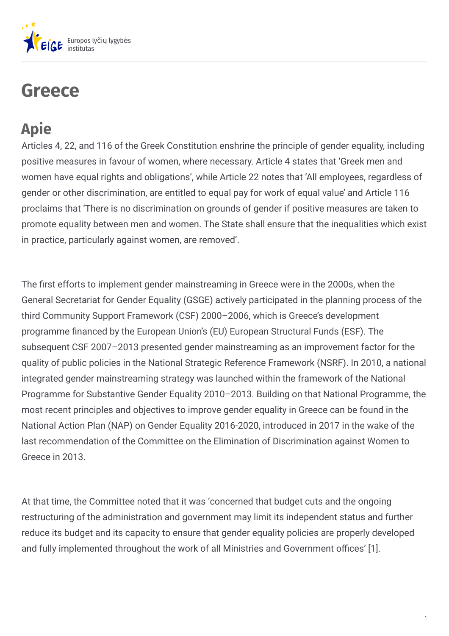

# **Greece**

## **Apie**

Articles 4, 22, and 116 of the Greek Constitution enshrine the principle of gender equality, including positive measures in favour of women, where necessary. Article 4 states that 'Greek men and women have equal rights and obligations', while Article 22 notes that 'All employees, regardless of gender or other discrimination, are entitled to equal pay for work of equal value' and Article 116 proclaims that 'There is no discrimination on grounds of gender if positive measures are taken to promote equality between men and women. The State shall ensure that the inequalities which exist in practice, particularly against women, are removed'.

The first efforts to implement gender mainstreaming in Greece were in the 2000s, when the General Secretariat for Gender Equality (GSGE) actively participated in the planning process of the third Community Support Framework (CSF) 2000–2006, which is Greece's development programme financed by the European Union's (EU) European Structural Funds (ESF). The subsequent CSF 2007–2013 presented gender mainstreaming as an improvement factor for the quality of public policies in the National Strategic Reference Framework (NSRF). In 2010, a national integrated gender mainstreaming strategy was launched within the framework of the National Programme for Substantive Gender Equality 2010–2013. Building on that National Programme, the most recent principles and objectives to improve gender equality in Greece can be found in the National Action Plan (NAP) on Gender Equality 2016-2020, introduced in 2017 in the wake of the last recommendation of the Committee on the Elimination of Discrimination against Women to Greece in 2013.

At that time, the Committee noted that it was 'concerned that budget cuts and the ongoing restructuring of the administration and government may limit its independent status and further reduce its budget and its capacity to ensure that gender equality policies are properly developed and fully implemented throughout the work of all Ministries and Government offices' [1].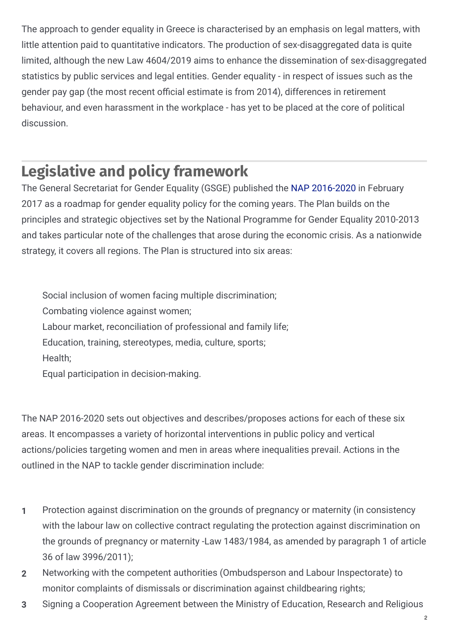The approach to gender equality in Greece is characterised by an emphasis on legal matters, with little attention paid to quantitative indicators. The production of sex-disaggregated data is quite limited, although the new Law 4604/2019 aims to enhance the dissemination of sex-disaggregated statistics by public services and legal entities. Gender equality - in respect of issues such as the gender pay gap (the most recent official estimate is from 2014), differences in retirement behaviour, and even harassment in the workplace - has yet to be placed at the core of political discussion.

### **Legislative and policy framework**

The General Secretariat for Gender Equality (GSGE) published the NAP [2016-2020](http://www.isotita.gr/wp-content/uploads/2018/02/National-Action-Plan-for-Gender-Equality-2016-2020.pdf) in February 2017 as a roadmap for gender equality policy for the coming years. The Plan builds on the principles and strategic objectives set by the National Programme for Gender Equality 2010-2013 and takes particular note of the challenges that arose during the economic crisis. As a nationwide strategy, it covers all regions. The Plan is structured into six areas:

Social inclusion of women facing multiple discrimination; Combating violence against women; Labour market, reconciliation of professional and family life; Education, training, stereotypes, media, culture, sports; Health; Equal participation in decision-making.

The NAP 2016-2020 sets out objectives and describes/proposes actions for each of these six areas. It encompasses a variety of horizontal interventions in public policy and vertical actions/policies targeting women and men in areas where inequalities prevail. Actions in the outlined in the NAP to tackle gender discrimination include:

- Protection against discrimination on the grounds of pregnancy or maternity (in consistency with the labour law on collective contract regulating the protection against discrimination on the grounds of pregnancy or maternity -Law 1483/1984, as amended by paragraph 1 of article 36 of law 3996/2011); **1**
- Networking with the competent authorities (Ombudsperson and Labour Inspectorate) to monitor complaints of dismissals or discrimination against childbearing rights; **2**
- **3** Signing a Cooperation Agreement between the Ministry of Education, Research and Religious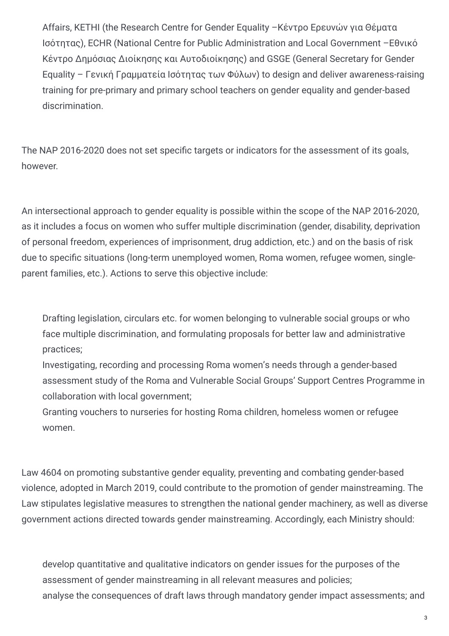Affairs, KETHI (the Research Centre for Gender Equality –Κέντρο Ερευνών για Θέματα Ισότητας), ECHR (National Centre for Public Administration and Local Government –Εθνικό Κέντρο Δημόσιας Διοίκησης και Αυτοδιοίκησης) and GSGE (General Secretary for Gender Equality – Γενική Γραμματεία Ισότητας των Φύλων) to design and deliver awareness-raising training for pre-primary and primary school teachers on gender equality and gender-based discrimination.

The NAP 2016-2020 does not set specific targets or indicators for the assessment of its goals, however.

An intersectional approach to gender equality is possible within the scope of the NAP 2016-2020, as it includes a focus on women who suffer multiple discrimination (gender, disability, deprivation of personal freedom, experiences of imprisonment, drug addiction, etc.) and on the basis of risk due to specific situations (long-term unemployed women, Roma women, refugee women, singleparent families, etc.). Actions to serve this objective include:

Drafting legislation, circulars etc. for women belonging to vulnerable social groups or who face multiple discrimination, and formulating proposals for better law and administrative practices;

Investigating, recording and processing Roma women's needs through a gender-based assessment study of the Roma and Vulnerable Social Groups' Support Centres Programme in collaboration with local government;

Granting vouchers to nurseries for hosting Roma children, homeless women or refugee women.

Law 4604 on promoting substantive gender equality, preventing and combating gender-based violence, adopted in March 2019, could contribute to the promotion of gender mainstreaming. The Law stipulates legislative measures to strengthen the national gender machinery, as well as diverse government actions directed towards gender mainstreaming. Accordingly, each Ministry should:

develop quantitative and qualitative indicators on gender issues for the purposes of the assessment of gender mainstreaming in all relevant measures and policies; analyse the consequences of draft laws through mandatory gender impact assessments; and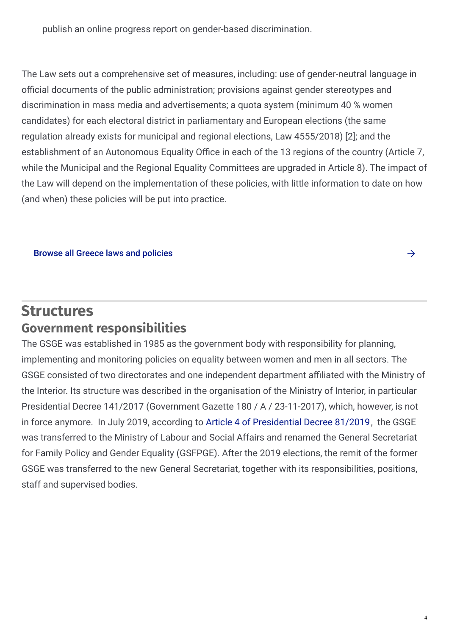publish an online progress report on gender-based discrimination.

The Law sets out a comprehensive set of measures, including: use of gender-neutral language in official documents of the public administration; provisions against gender stereotypes and discrimination in mass media and advertisements; a quota system (minimum 40 % women candidates) for each electoral district in parliamentary and European elections (the same regulation already exists for municipal and regional elections, Law 4555/2018) [2]; and the establishment of an Autonomous Equality Office in each of the 13 regions of the country (Article 7, while the Municipal and the Regional Equality Committees are upgraded in Article 8). The impact of the Law will depend on the implementation of these policies, with little information to date on how (and when) these policies will be put into practice.

Browse all Greece laws and [policies](https://eige.europa.eu/gender-mainstreaming/countries/browse/greece?tp[]=resource)

### **Structures Government responsibilities**

The GSGE was established in 1985 as the government body with responsibility for planning, implementing and monitoring policies on equality between women and men in all sectors. The GSGE consisted of two directorates and one independent department affiliated with the Ministry of the Interior. Its structure was described in the organisation of the Ministry of Interior, in particular Presidential Decree 141/2017 (Government Gazette 180 / Α / 23-11-2017), which, however, is not in force anymore. In July 2019, according to Article 4 of [Presidential](http://www.airetos.gr/UsersFiles/Documents/proedrikodiatagmakyvernisi.pdf) Decree 81/2019, the GSGE was transferred to the Ministry of Labour and Social Affairs and renamed the General Secretariat for Family Policy and Gender Equality (GSFPGE). After the 2019 elections, the remit of the former GSGE was transferred to the new General Secretariat, together with its responsibilities, positions, staff and supervised bodies.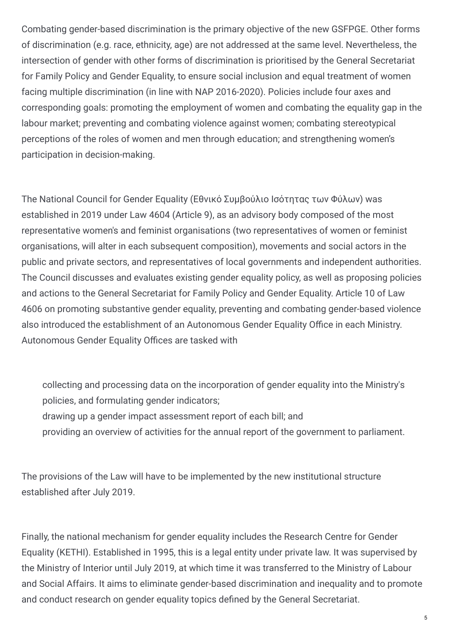Combating gender-based discrimination is the primary objective of the new GSFPGE. Other forms of discrimination (e.g. race, ethnicity, age) are not addressed at the same level. Nevertheless, the intersection of gender with other forms of discrimination is prioritised by the General Secretariat for Family Policy and Gender Equality, to ensure social inclusion and equal treatment of women facing multiple discrimination (in line with NAP 2016-2020). Policies include four axes and corresponding goals: promoting the employment of women and combating the equality gap in the labour market; preventing and combating violence against women; combating stereotypical perceptions of the roles of women and men through education; and strengthening women's participation in decision-making.

The National Council for Gender Equality (Εθνικό Συμβούλιο Ισότητας των Φύλων) was established in 2019 under Law 4604 (Article 9), as an advisory body composed of the most representative women's and feminist organisations (two representatives of women or feminist organisations, will alter in each subsequent composition), movements and social actors in the public and private sectors, and representatives of local governments and independent authorities. The Council discusses and evaluates existing gender equality policy, as well as proposing policies and actions to the General Secretariat for Family Policy and Gender Equality. Article 10 of Law 4606 on promoting substantive gender equality, preventing and combating gender-based violence also introduced the establishment of an Autonomous Gender Equality Office in each Ministry. Autonomous Gender Equality Offices are tasked with

collecting and processing data on the incorporation of gender equality into the Ministry's policies, and formulating gender indicators; drawing up a gender impact assessment report of each bill; and providing an overview of activities for the annual report of the government to parliament.

The provisions of the Law will have to be implemented by the new institutional structure established after July 2019.

Finally, the national mechanism for gender equality includes the Research Centre for Gender Equality (KETHI). Established in 1995, this is a legal entity under private law. It was supervised by the Ministry of Interior until July 2019, at which time it was transferred to the Ministry of Labour and Social Affairs. It aims to eliminate gender-based discrimination and inequality and to promote and conduct research on gender equality topics defined by the General Secretariat.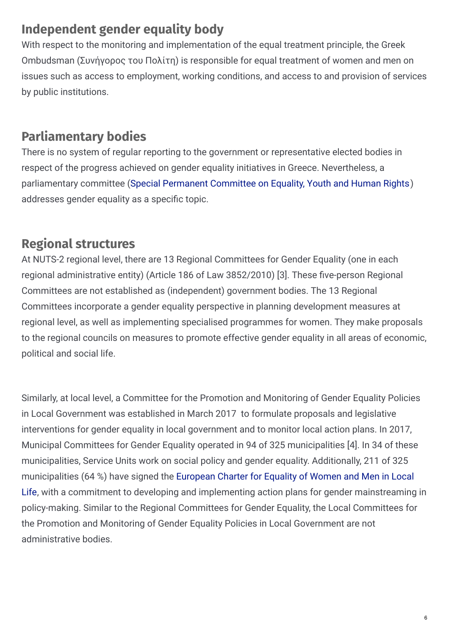### **Independent gender equality body**

With respect to the monitoring and implementation of the equal treatment principle, the Greek Ombudsman (Συνήγορος του Πολίτη) is responsible for equal treatment of women and men on issues such as access to employment, working conditions, and access to and provision of services by public institutions.

### **Parliamentary bodies**

There is no system of regular reporting to the government or representative elected bodies in respect of the progress achieved on gender equality initiatives in Greece. Nevertheless, a parliamentary committee (Special Permanent [Committee](https://eige.europa.eu/lt/gender-mainstreaming/countries/greece?lang=el) on Equality, Youth and Human Rights) addresses gender equality as a specific topic.

### **Regional structures**

At NUTS-2 regional level, there are 13 Regional Committees for Gender Equality (one in each regional administrative entity) (Article 186 of Law 3852/2010) [3]. These five-person Regional Committees are not established as (independent) government bodies. The 13 Regional Committees incorporate a gender equality perspective in planning development measures at regional level, as well as implementing specialised programmes for women. They make proposals to the regional councils on measures to promote effective gender equality in all areas of economic, political and social life.

Similarly, at local level, a Committee for the Promotion and Monitoring of Gender Equality Policies in Local Government was established in March 2017 to formulate proposals and legislative interventions for gender equality in local government and to monitor local action plans. In 2017, Municipal Committees for Gender Equality operated in 94 of 325 municipalities [4]. In 34 of these municipalities, Service Units work on social policy and gender equality. Additionally, 211 of 325 [municipalities](http://www.isotita.gr/%CE%B4%CE%AE%CE%BC%CE%BF%CE%B9-%CF%80%CE%BF%CF%85-%CE%AD%CF%87%CE%BF%CF%85%CE%BD-%CF%85%CF%80%CE%BF%CE%B3%CF%81%CE%AC%CF%88%CE%B5%CE%B9-%CF%84%CE%B7%CE%BD-%CE%B5%CF%85%CF%81%CF%89%CF%80%CE%B1%CF%8A/) (64 %) have signed the European Charter for Equality of Women and Men in Local Life, with a commitment to developing and implementing action plans for gender mainstreaming in policy-making. Similar to the Regional Committees for Gender Equality, the Local Committees for the Promotion and Monitoring of Gender Equality Policies in Local Government are not administrative bodies.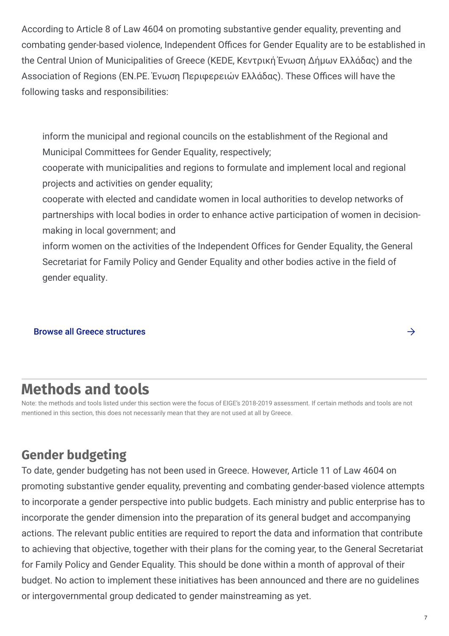According to Article 8 of Law 4604 on promoting substantive gender equality, preventing and combating gender-based violence, Independent Offices for Gender Equality are to be established in the Central Union of Municipalities of Greece (KEDE, Κεντρική Ένωση Δήμων Ελλάδας) and the Association of Regions (EN.PE. Ένωση Περιφερειών Ελλάδας). These Offices will have the following tasks and responsibilities:

inform the municipal and regional councils on the establishment of the Regional and Municipal Committees for Gender Equality, respectively;

cooperate with municipalities and regions to formulate and implement local and regional projects and activities on gender equality;

cooperate with elected and candidate women in local authorities to develop networks of partnerships with local bodies in order to enhance active participation of women in decisionmaking in local government; and

inform women on the activities of the Independent Offices for Gender Equality, the General Secretariat for Family Policy and Gender Equality and other bodies active in the field of gender equality.

Browse all Greece [structures](https://eige.europa.eu/gender-mainstreaming/countries/browse/greece?tp[]=structure)

### **Methods and tools**

Note: the methods and tools listed under this section were the focus of EIGE's 2018-2019 assessment. If certain methods and tools are not mentioned in this section, this does not necessarily mean that they are not used at all by Greece.

### **Gender budgeting**

To date, gender budgeting has not been used in Greece. However, Article 11 of Law 4604 on promoting substantive gender equality, preventing and combating gender-based violence attempts to incorporate a gender perspective into public budgets. Each ministry and public enterprise has to incorporate the gender dimension into the preparation of its general budget and accompanying actions. The relevant public entities are required to report the data and information that contribute to achieving that objective, together with their plans for the coming year, to the General Secretariat for Family Policy and Gender Equality. This should be done within a month of approval of their budget. No action to implement these initiatives has been announced and there are no guidelines or intergovernmental group dedicated to gender mainstreaming as yet.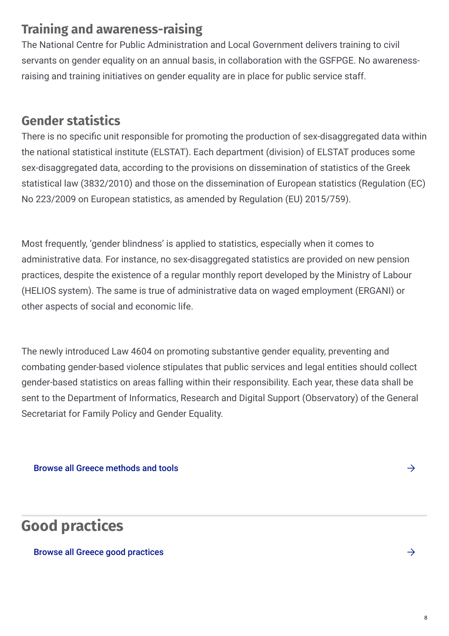#### **Training and awareness-raising**

The National Centre for Public Administration and Local Government delivers training to civil servants on gender equality on an annual basis, in collaboration with the GSFPGE. No awarenessraising and training initiatives on gender equality are in place for public service staff.

#### **Gender statistics**

There is no specific unit responsible for promoting the production of sex-disaggregated data within the national statistical institute (ELSTAT). Each department (division) of ELSTAT produces some sex-disaggregated data, according to the provisions on dissemination of statistics of the Greek statistical law (3832/2010) and those on the dissemination of European statistics (Regulation (EC) No 223/2009 on European statistics, as amended by Regulation (EU) 2015/759).

Most frequently, 'gender blindness' is applied to statistics, especially when it comes to administrative data. For instance, no sex-disaggregated statistics are provided on new pension practices, despite the existence of a regular monthly report developed by the Ministry of Labour (HELIOS system). The same is true of administrative data on waged employment (ERGANI) or other aspects of social and economic life.

The newly introduced Law 4604 on promoting substantive gender equality, preventing and combating gender-based violence stipulates that public services and legal entities should collect gender-based statistics on areas falling within their responsibility. Each year, these data shall be sent to the Department of Informatics, Research and Digital Support (Observatory) of the General Secretariat for Family Policy and Gender Equality.

Browse all Greece [methods](https://eige.europa.eu/gender-mainstreaming/countries/browse/greece?tp[]=method_tool) and tools  $\rightarrow$ 

**Good practices**

Browse all Greece good [practices](https://eige.europa.eu/gender-mainstreaming/countries/browse/greece?tp[]=good_practice)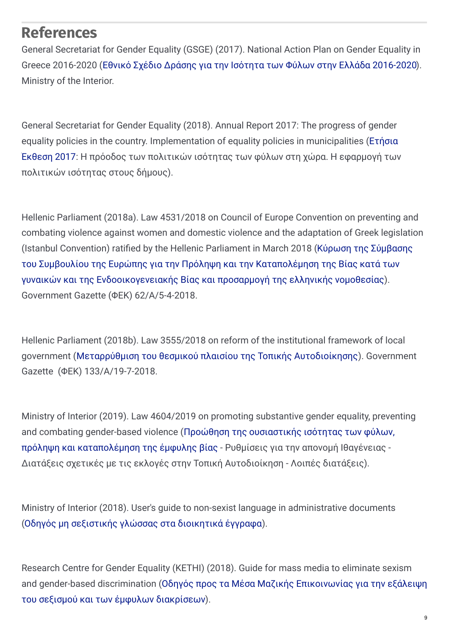#### **References**

General Secretariat for Gender Equality (GSGE) (2017). National Action Plan on Gender Equality in Greece 2016-2020 (Εθνικό Σχέδιο Δράσης για την Ισότητα των Φύλων στην Ελλάδα [2016-2020](http://www.isotita.gr/wp-content/uploads/2018/02/National-Action-Plan-for-Gender-Equality-2016-2020.pdf)). Ministry of the Interior.

General Secretariat for Gender Equality (2018). Annual Report 2017: The progress of gender equality policies in the country. [Implementation](http://www.isotita.gr/wp-content/uploads/2018/12/%CE%95%CF%84%CE%AE%CF%83%CE%B9%CE%B1-%CE%88%CE%BA%CE%B8%CE%B5%CF%83%CE%B7-%CE%93%CE%93%CE%99%CE%A6-2018.pdf) of equality policies in municipalities (Ετήσια Έκθεση 2017: Η πρόοδος των πολιτικών ισότητας των φύλων στη χώρα. Η εφαρμογή των πολιτικών ισότητας στους δήμους).

Hellenic Parliament (2018a). Law 4531/2018 on Council of Europe Convention on preventing and combating violence against women and domestic violence and the adaptation of Greek legislation (Istanbul Convention) ratified by the Hellenic Parliament in March 2018 (Κύρωση της Σύμβασης του Συμβουλίου της Ευρώπης για την Πρόληψη και την Καταπολέμηση της Βίας κατά των γυναικών και της [Ενδοοικογενειακής](http://www.isotita.gr/wp-content/uploads/2018/04/4531-2018.IstanbulConvention.pdf) Βίας και προσαρμογή της ελληνικής νομοθεσίας). Government Gazette (ΦΕΚ) 62/Α/5-4-2018.

Hellenic Parliament (2018b). Law 3555/2018 on reform of the institutional framework of local government (Μεταρρύθμιση του θεσμικού πλαισίου της Τοπικής [Αυτοδιοίκησης](http://collab.lawspot.gr/sites/default/files/mashup/feka/2018/fek-133-2018.pdf)). Government Gazette (ΦΕΚ) 133/Α/19-7-2018.

Ministry of Interior (2019). Law 4604/2019 on promoting substantive gender equality, preventing and combating gender-based violence (Προώθηση της ουσιαστικής ισότητας των φύλων, πρόληψη και [καταπολέμηση](http://www.isotita.gr/wp-content/uploads/2019/03/%CE%9D.4604-%CE%B3%CE%B9%CE%B1-%CF%84%CE%B7%CE%BD-%CE%9F%CF%85%CF%83%CE%B9%CE%B1%CF%83%CF%84%CE%B9%CE%BA%CE%AE-%CE%99%CF%83%CF%8C%CF%84%CE%B7%CF%84%CE%B1-%CF%84%CF%89%CE%BD-%CE%A6%CF%8D%CE%BB%CF%89%CE%BD.pdf) της έμφυλης βίας - Ρυθμίσεις για την απονομή Ιθαγένειας - Διατάξεις σχετικές με τις εκλογές στην Τοπική Αυτοδιοίκηση - Λοιπές διατάξεις).

Ministry of Interior (2018). User's guide to non-sexist language in administrative documents (Οδηγός μη [σεξιστικής](http://www.isotita.gr/wp-content/uploads/2018/01/%CE%9F%CE%B4%CE%B7%CE%B3%CF%8C%CF%82-%CE%BC%CE%B7-%CF%83%CE%B5%CE%BE%CE%B9%CF%83%CF%84%CE%B9%CE%BA%CE%AE%CF%82-%CE%B3%CE%BB%CF%8E%CF%83%CF%83%CE%B1%CF%82.pdf) γλώσσας στα διοικητικά έγγραφα).

Research Centre for Gender Equality (KETHI) (2018). Guide for mass media to eliminate sexism and gender-based [discrimination](http://kethi.gr/wp-content/uploads/2018/03/%CE%9F%CE%94%CE%97%CE%93%CE%9F%CE%A3_mme_publ.pdf) (Οδηγός προς τα Μέσα Μαζικής Επικοινωνίας για την εξάλειψη του σεξισμού και των έμφυλων διακρίσεων).